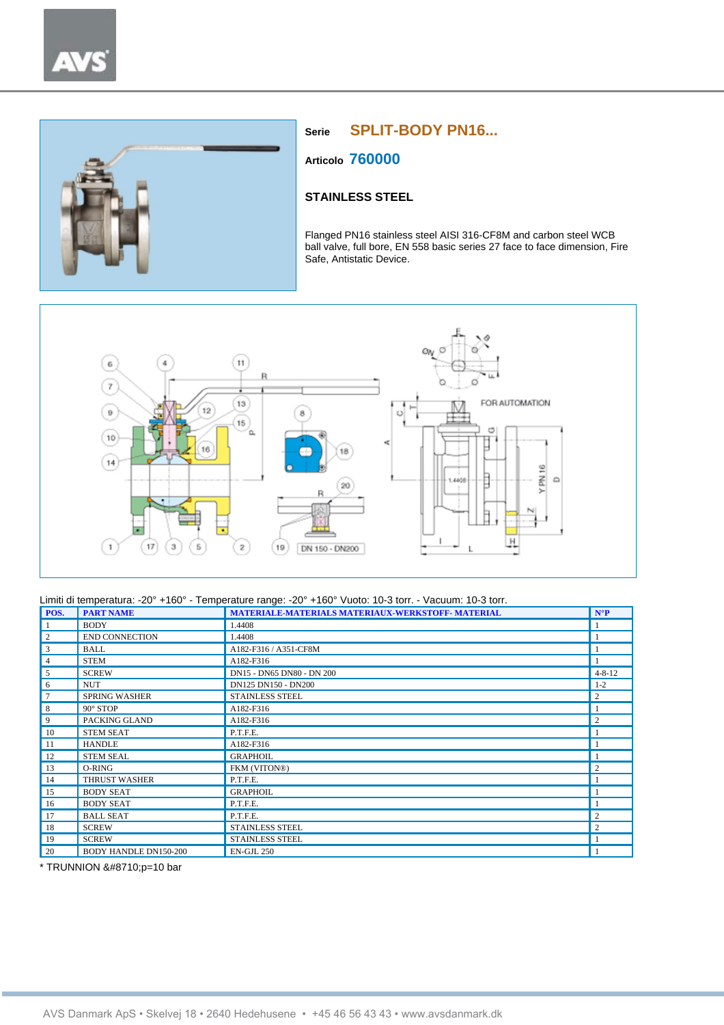

# **Serie SPLIT-BODY PN16...**

**Articolo 760000**

## **STAINLESS STEEL**

Flanged PN16 stainless steel AISI 316-CF8M and carbon steel WCB ball valve, full bore, EN 558 basic series 27 face to face dimension, Fire Safe, Antistatic Device.



### Limiti di temperatura: -20° +160° - Temperature range: -20° +160° Vuoto: 10-3 torr. - Vacuum: 10-3 torr.

| POS.            | <b>PART NAME</b>             | <b>MATERIALE-MATERIALS MATERIAUX-WERKSTOFF- MATERIAL</b> | $N^{\circ}P$   |
|-----------------|------------------------------|----------------------------------------------------------|----------------|
| -1              | <b>BODY</b>                  | 1.4408                                                   |                |
| $\overline{c}$  | <b>END CONNECTION</b>        | 1.4408                                                   |                |
| 3               | <b>BALL</b>                  | A182-F316 / A351-CF8M                                    |                |
| $\overline{4}$  | <b>STEM</b>                  | A182-F316                                                |                |
| 5               | <b>SCREW</b>                 | DN15 - DN65 DN80 - DN 200                                | $4 - 8 - 12$   |
| 6               | <b>NUT</b>                   | DN125 DN150 - DN200                                      | $1 - 2$        |
| $7\phantom{.0}$ | <b>SPRING WASHER</b>         | <b>STAINLESS STEEL</b>                                   | $\overline{c}$ |
| 8               | $90^\circ$ STOP              | A182-F316                                                |                |
| 9               | PACKING GLAND                | A182-F316                                                | $\overline{2}$ |
| 10              | <b>STEM SEAT</b>             | P.T.F.E.                                                 |                |
| -11             | <b>HANDLE</b>                | A182-F316                                                |                |
| 12              | <b>STEM SEAL</b>             | <b>GRAPHOIL</b>                                          |                |
| 13              | O-RING                       | FKM (VITON®)                                             | $\overline{c}$ |
| 14              | <b>THRUST WASHER</b>         | P.T.F.E.                                                 |                |
| 15              | <b>BODY SEAT</b>             | <b>GRAPHOIL</b>                                          |                |
| 16              | <b>BODY SEAT</b>             | P.T.F.E.                                                 |                |
| 17              | <b>BALL SEAT</b>             | P.T.F.E.                                                 | $\overline{c}$ |
| 18              | <b>SCREW</b>                 | <b>STAINLESS STEEL</b>                                   | $\overline{c}$ |
| 19              | <b>SCREW</b>                 | <b>STAINLESS STEEL</b>                                   |                |
| 20              | <b>BODY HANDLE DN150-200</b> | <b>EN-GJL 250</b>                                        |                |

\* TRUNNION ∆p=10 bar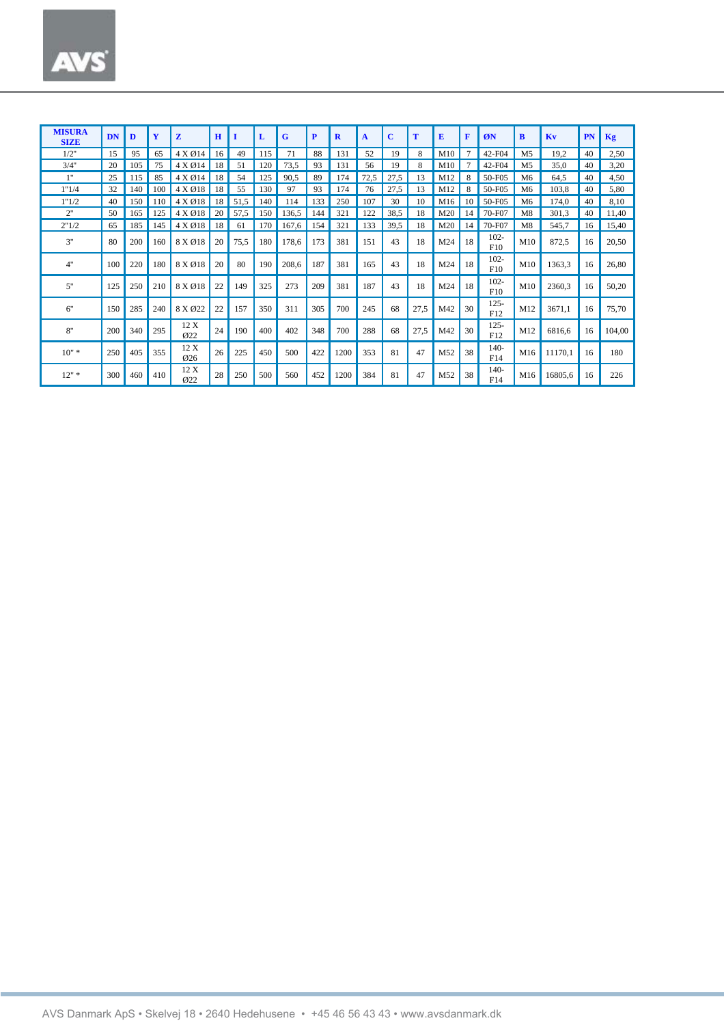| <b>MISURA</b><br><b>SIZE</b> | <b>DN</b> | D   | Y   | z                        | $\mathbf H$ |      | L   | G     | P   | $\mathbf{R}$ | A    | C    | т    | E   | F              | ØN             | B              | Kv      | PN | Kg     |
|------------------------------|-----------|-----|-----|--------------------------|-------------|------|-----|-------|-----|--------------|------|------|------|-----|----------------|----------------|----------------|---------|----|--------|
| 1/2"                         | 15        | 95  | 65  | 4 X Ø14                  | 16          | 49   | 115 | 71    | 88  | 131          | 52   | 19   | 8    | M10 | $\overline{7}$ | 42-F04         | M <sub>5</sub> | 19,2    | 40 | 2,50   |
| 3/4"                         | 20        | 105 | 75  | 4 X Ø14                  | 18          | 51   | 120 | 73,5  | 93  | 131          | 56   | 19   | 8    | M10 |                | 42-F04         | M <sub>5</sub> | 35,0    | 40 | 3,20   |
| 1"                           | 25        | 115 | 85  | 4 X Ø14                  | 18          | 54   | 125 | 90,5  | 89  | 174          | 72,5 | 27,5 | 13   | M12 |                | 50-F05         | M <sub>6</sub> | 64,5    | 40 | 4,50   |
| 1"1/4                        | 32        | 140 | 100 | 4 X Ø18                  | 18          | 55   | 130 | 97    | 93  | 174          | 76   | 27,5 | 13   | M12 | 8              | 50-F05         | M6             | 103,8   | 40 | 5,80   |
| 1"1/2                        | 40        | 150 | 110 | 4 X Ø18                  | 18          | 51,5 | 140 | 114   | 133 | 250          | 107  | 30   | 10   | M16 | 10             | 50-F05         | M <sub>6</sub> | 174,0   | 40 | 8,10   |
| 2"                           | 50        | 165 | 125 | 4 X Ø18                  | 20          | 57,5 | 150 | 136,5 | 144 | 321          | 122  | 38,5 | 18   | M20 | 14             | 70-F07         | M8             | 301,3   | 40 | 11,40  |
| 2"1/2                        | 65        | 185 | 145 | 4 X Ø18                  | 18          | 61   | 170 | 167,6 | 154 | 321          | 133  | 39,5 | 18   | M20 | 14             | 70-F07         | M8             | 545,7   | 16 | 15,40  |
| 3"                           | 80        | 200 | 160 | 8 X Ø18                  | 20          | 75,5 | 180 | 178,6 | 173 | 381          | 151  | 43   | 18   | M24 | 18             | $102 -$<br>F10 | M10            | 872,5   | 16 | 20,50  |
| 4"                           | 100       | 220 | 180 | 8 X Ø18                  | 20          | 80   | 190 | 208,6 | 187 | 381          | 165  | 43   | 18   | M24 | 18             | $102 -$<br>F10 | M10            | 1363,3  | 16 | 26,80  |
| 5"                           | 125       | 250 | 210 | 8 X Ø18                  | 22          | 149  | 325 | 273   | 209 | 381          | 187  | 43   | 18   | M24 | 18             | $102 -$<br>F10 | M10            | 2360,3  | 16 | 50,20  |
| 6"                           | 150       | 285 | 240 | 8 X Ø22                  | 22          | 157  | 350 | 311   | 305 | 700          | 245  | 68   | 27,5 | M42 | 30             | $125 -$<br>F12 | M12            | 3671.1  | 16 | 75,70  |
| 8"                           | 200       | 340 | 295 | 12 X<br>$\varnothing$ 22 | 24          | 190  | 400 | 402   | 348 | 700          | 288  | 68   | 27,5 | M42 | 30             | $125 -$<br>F12 | M12            | 6816,6  | 16 | 104,00 |
| $10" *$                      | 250       | 405 | 355 | 12 X<br>$\varnothing$ 26 | 26          | 225  | 450 | 500   | 422 | 1200         | 353  | 81   | 47   | M52 | 38             | $140-$<br>F14  | M16            | 11170.1 | 16 | 180    |
| $12"$ *                      | 300       | 460 | 410 | 12 X<br>Q22              | 28          | 250  | 500 | 560   | 452 | 1200         | 384  | 81   | 47   | M52 | 38             | $140-$<br>F14  | M16            | 16805.6 | 16 | 226    |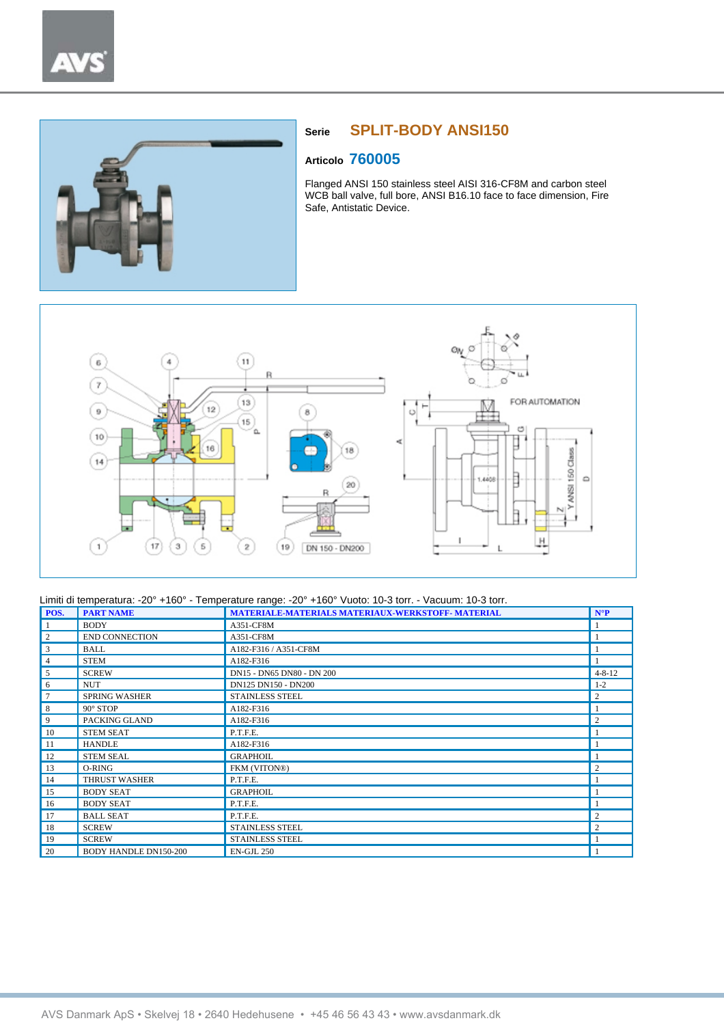

# **Serie SPLIT-BODY ANSI150**

## **Articolo 760005**

Flanged ANSI 150 stainless steel AISI 316-CF8M and carbon steel WCB ball valve, full bore, ANSI B16.10 face to face dimension, Fire Safe, Antistatic Device.



| POS.            | <b>PART NAME</b>             | <b>MATERIALE-MATERIALS MATERIAUX-WERKSTOFF- MATERIAL</b> | $N^{\circ}P$   |
|-----------------|------------------------------|----------------------------------------------------------|----------------|
| -1              | <b>BODY</b>                  | A351-CF8M                                                |                |
| $\overline{c}$  | <b>END CONNECTION</b>        | A351-CF8M                                                |                |
| 3               | <b>BALL</b>                  | A182-F316 / A351-CF8M                                    |                |
| $\overline{4}$  | <b>STEM</b>                  | A182-F316                                                |                |
| 5               | <b>SCREW</b>                 | DN15 - DN65 DN80 - DN 200                                | $4 - 8 - 12$   |
| 6               | <b>NUT</b>                   | DN125 DN150 - DN200                                      | $1 - 2$        |
| $7\phantom{.0}$ | <b>SPRING WASHER</b>         | <b>STAINLESS STEEL</b>                                   | $\overline{2}$ |
| 8               | 90° STOP                     | A182-F316                                                |                |
| 9               | PACKING GLAND                | A182-F316                                                | $\overline{2}$ |
| 10              | <b>STEM SEAT</b>             | P.T.F.E.                                                 |                |
| -11             | <b>HANDLE</b>                | A182-F316                                                |                |
| 12              | <b>STEM SEAL</b>             | <b>GRAPHOIL</b>                                          |                |
| 13              | O-RING                       | FKM (VITON®)                                             | $\overline{2}$ |
| 14              | <b>THRUST WASHER</b>         | P.T.F.E.                                                 |                |
| 15              | <b>BODY SEAT</b>             | <b>GRAPHOIL</b>                                          |                |
| 16              | <b>BODY SEAT</b>             | P.T.F.E.                                                 |                |
| 17              | <b>BALL SEAT</b>             | P.T.F.E.                                                 | $\overline{2}$ |
| 18              | <b>SCREW</b>                 | STAINLESS STEEL                                          | $\overline{2}$ |
| 19              | <b>SCREW</b>                 | STAINLESS STEEL                                          |                |
| 20              | <b>BODY HANDLE DN150-200</b> | <b>EN-GJL 250</b>                                        |                |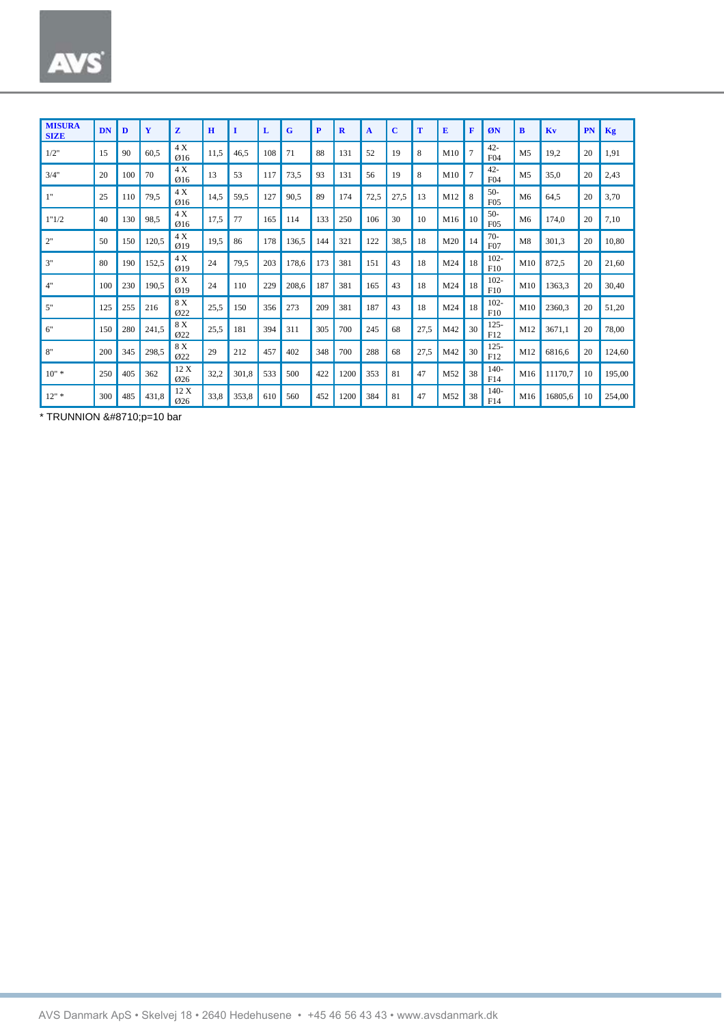| <b>MISURA</b><br><b>SIZE</b> | DN  | D   | Y     | Z                      | $\mathbf H$ | 1     | L   | G     | P   | $\mathbf R$ | $\mathbf{A}$ | $\mathbf C$ | т    | E   | F              | ØN                        | B              | Kv      | PN | Kg     |
|------------------------------|-----|-----|-------|------------------------|-------------|-------|-----|-------|-----|-------------|--------------|-------------|------|-----|----------------|---------------------------|----------------|---------|----|--------|
| 1/2"                         | 15  | 90  | 60,5  | 4X<br>Q16              | 11,5        | 46.5  | 108 | 71    | 88  | 131         | 52           | 19          | 8    | M10 | $\overline{7}$ | $42 -$<br>F <sub>04</sub> | M <sub>5</sub> | 19.2    | 20 | 1,91   |
| 3/4"                         | 20  | 100 | 70    | 4X<br>Ø16              | 13          | 53    | 117 | 73,5  | 93  | 131         | 56           | 19          | 8    | M10 | $\overline{7}$ | $42 -$<br>F <sub>04</sub> | M <sub>5</sub> | 35.0    | 20 | 2,43   |
| 1"                           | 25  | 110 | 79,5  | 4X<br>Ø16              | 14,5        | 59,5  | 127 | 90,5  | 89  | 174         | 72,5         | 27,5        | 13   | M12 | 8              | $50-$<br>F <sub>05</sub>  | M6             | 64.5    | 20 | 3,70   |
| 1"1/2                        | 40  | 130 | 98,5  | 4X<br>Ø16              | 17,5        | 77    | 165 | 114   | 133 | 250         | 106          | 30          | 10   | M16 | 10             | $50-$<br>F05              | M6             | 174.0   | 20 | 7,10   |
| 2"                           | 50  | 150 | 120,5 | 4X<br>$\varnothing$ 19 | 19,5        | 86    | 178 | 136.5 | 144 | 321         | 122          | 38,5        | 18   | M20 | 14             | $70-$<br>F <sub>07</sub>  | M8             | 301.3   | 20 | 10.80  |
| 3"                           | 80  | 190 | 152,5 | 4X<br>$\varnothing$ 19 | 24          | 79.5  | 203 | 178,6 | 173 | 381         | 151          | 43          | 18   | M24 | 18             | $102 -$<br>F10            | M10            | 872.5   | 20 | 21,60  |
| 4"                           | 100 | 230 | 190,5 | 8 X<br>$Q$ 19          | 24          | 110   | 229 | 208,6 | 187 | 381         | 165          | 43          | 18   | M24 | 18             | $102 -$<br>F10            | M10            | 1363,3  | 20 | 30,40  |
| 5"                           | 125 | 255 | 216   | 8 X<br>Ø22             | 25,5        | 150   | 356 | 273   | 209 | 381         | 187          | 43          | 18   | M24 | 18             | $102 -$<br>F10            | M10            | 2360,3  | 20 | 51,20  |
| 6"                           | 150 | 280 | 241,5 | 8 X<br>Ø22             | 25,5        | 181   | 394 | 311   | 305 | 700         | 245          | 68          | 27,5 | M42 | 30             | $125 -$<br>F12            | M12            | 3671.1  | 20 | 78,00  |
| 8"                           | 200 | 345 | 298,5 | 8 X<br>Q22             | 29          | 212   | 457 | 402   | 348 | 700         | 288          | 68          | 27,5 | M42 | 30             | $125 -$<br>F12            | M12            | 6816.6  | 20 | 124,60 |
| $10"$ *                      | 250 | 405 | 362   | 12 X<br>Ø26            | 32,2        | 301,8 | 533 | 500   | 422 | 1200        | 353          | 81          | 47   | M52 | 38             | $140-$<br>F14             | M16            | 11170.7 | 10 | 195.00 |
| $12"$ *                      | 300 | 485 | 431,8 | 12 X<br>Ø26            | 33,8        | 353.8 | 610 | 560   | 452 | 1200        | 384          | 81          | 47   | M52 | 38             | $140 -$<br>F14            | M16            | 16805.6 | 10 | 254,00 |

\* TRUNNION ∆p=10 bar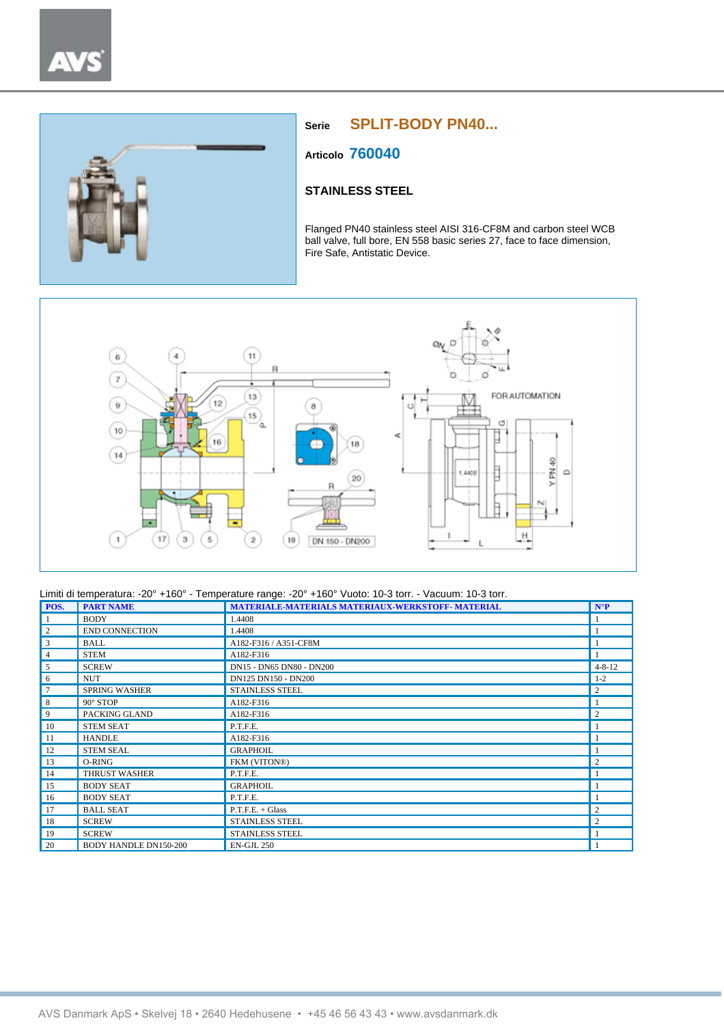



# **Serie SPLIT-BODY PN40...**

**Articolo 760040**

## **STAINLESS STEEL**

Flanged PN40 stainless steel AISI 316-CF8M and carbon steel WCB ball valve, full bore, EN 558 basic series 27, face to face dimension, Fire Safe, Antistatic Device.



| POS.           | <b>PART NAME</b>             | MATERIALE-MATERIALS MATERIAUX-WERKSTOFF- MATERIAL | $N^{\circ}P$   |
|----------------|------------------------------|---------------------------------------------------|----------------|
|                | <b>BODY</b>                  | 1.4408                                            |                |
| $\overline{c}$ | <b>END CONNECTION</b>        | 1.4408                                            |                |
| 3              | <b>BALL</b>                  | A182-F316 / A351-CF8M                             |                |
| $\overline{4}$ | <b>STEM</b>                  | A182-F316                                         |                |
| 5              | <b>SCREW</b>                 | DN15 - DN65 DN80 - DN200                          | $4 - 8 - 12$   |
| 6              | <b>NUT</b>                   | DN125 DN150 - DN200                               | $1 - 2$        |
| $\overline{7}$ | <b>SPRING WASHER</b>         | STAINLESS STEEL                                   | $\overline{c}$ |
| 8              | $90^\circ$ STOP              | A182-F316                                         |                |
| 9              | PACKING GLAND                | A182-F316                                         | $\mathbf{2}$   |
| 10             | <b>STEM SEAT</b>             | P.T.F.E.                                          |                |
| 11             | <b>HANDLE</b>                | A182-F316                                         |                |
| 12             | <b>STEM SEAL</b>             | <b>GRAPHOIL</b>                                   |                |
| 13             | O-RING                       | FKM (VITON®)                                      | $\mathbf{2}$   |
| 14             | <b>THRUST WASHER</b>         | P.T.F.E.                                          |                |
| 15             | <b>BODY SEAT</b>             | <b>GRAPHOIL</b>                                   |                |
| 16             | <b>BODY SEAT</b>             | P.T.F.E.                                          |                |
| 17             | <b>BALL SEAT</b>             | $P.T.F.E. + Glass$                                | $\overline{c}$ |
| 18             | <b>SCREW</b>                 | <b>STAINLESS STEEL</b>                            | $\overline{c}$ |
| 19             | <b>SCREW</b>                 | <b>STAINLESS STEEL</b>                            |                |
| 20             | <b>BODY HANDLE DN150-200</b> | <b>EN-GJL 250</b>                                 |                |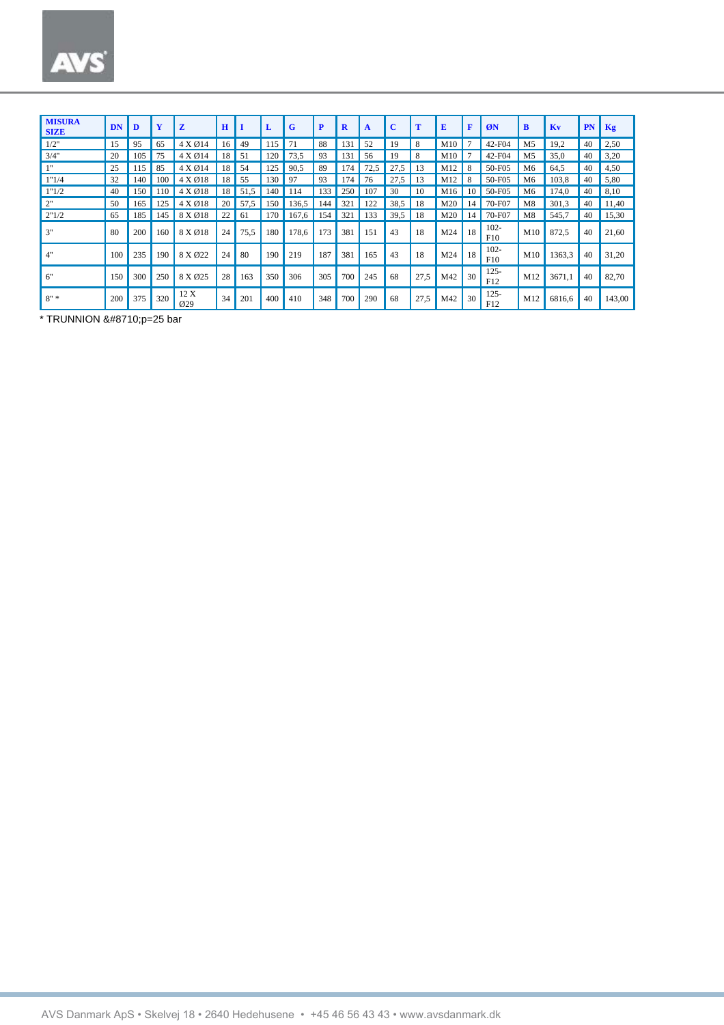| <b>MISURA</b><br><b>SIZE</b> | <b>DN</b> | D   | Y   | z                        | H  |      | L    | G     | P   | $\mathbf R$ | A    | $\mathbf{C}$ | т    | E   | F  | ØN             | B              | Kv     | PN | Kg     |
|------------------------------|-----------|-----|-----|--------------------------|----|------|------|-------|-----|-------------|------|--------------|------|-----|----|----------------|----------------|--------|----|--------|
| 1/2"                         | 15        | 95  | 65  | 4 X Ø14                  | 16 | 49   | 115  | 71    | 88  | 131         | 52   | 19           | 8    | M10 |    | 42-F04         | M5             | 19,2   | 40 | 2,50   |
| 3/4"                         | 20        | 105 | 75  | 4 X Ø14                  | 18 | 51   | 120  | 73,5  | 93  | 131         | 56   | 19           | 8    | M10 |    | 42-F04         | M <sub>5</sub> | 35.0   | 40 | 3,20   |
| 111                          | 25        | 115 | 85  | 4 X Ø14                  | 18 | 54   | 25   | 90,5  | 89  | 174         | 72,5 | 27<br>.5     | 13   | M12 |    | 50-F05         | M <sub>6</sub> | 64,5   | 40 | 4,50   |
| 1"1/4                        | 32        | 140 | 100 | 4 X Ø18                  | 18 | 55   | 130  | 97    | 93  | 174         | 76   | 27.5         | 13   | M12 |    | 50-F05         | M6             | 103,8  | 40 | 5,80   |
| 1"1/2                        | 40        | 150 | 110 | 4 X Ø18                  | 18 | 51,5 | 140  | 114   | 133 | 250         | 107  | 30           | 10   | M16 | 10 | 50-F05         | M6             | 174.0  | 40 | 8,10   |
| 2"                           | 50        | 165 | 125 | 4 X Ø18                  | 20 | 57,5 | 150  | 136,5 | 144 | 321         | 122  | 38,5         | 18   | M20 | 14 | 70-F07         | M8             | 301.3  | 40 | 11,40  |
| 2"1/2                        | 65        | 185 | 145 | 8 X Ø18                  | 22 | 61   | l 70 | 167,6 | 154 | 32          | 133  | 39,5         | 18   | M20 | 14 | 70-F07         | M8             | 545,7  | 40 | 15,30  |
| 3"                           | 80        | 200 | 160 | 8 X Ø18                  | 24 | 75,5 | 180  | 178,6 | 173 | 381         | 151  | 43           | 18   | M24 | 18 | $102 -$<br>F10 | M10            | 872,5  | 40 | 21,60  |
| 4"                           | 100       | 235 | 190 | 8 X Ø22                  | 24 | 80   | 190  | 219   | 187 | 381         | 165  | 43           | 18   | M24 | 18 | $102 -$<br>F10 | M10            | 1363,3 | 40 | 31,20  |
| 6"                           | 150       | 300 | 250 | 8 X Ø25                  | 28 | 163  | 350  | 306   | 305 | 700         | 245  | 68           | 27,5 | M42 | 30 | $125 -$<br>F12 | M12            | 3671,1 | 40 | 82,70  |
| $8" *$                       | 200       | 375 | 320 | 12 X<br>$\varnothing$ 29 | 34 | 201  | 400  | 410   | 348 | 700         | 290  | 68           | 27,5 | M42 | 30 | $125 -$<br>F12 | M12            | 6816,6 | 40 | 143,00 |

\* TRUNNION ∆p=25 bar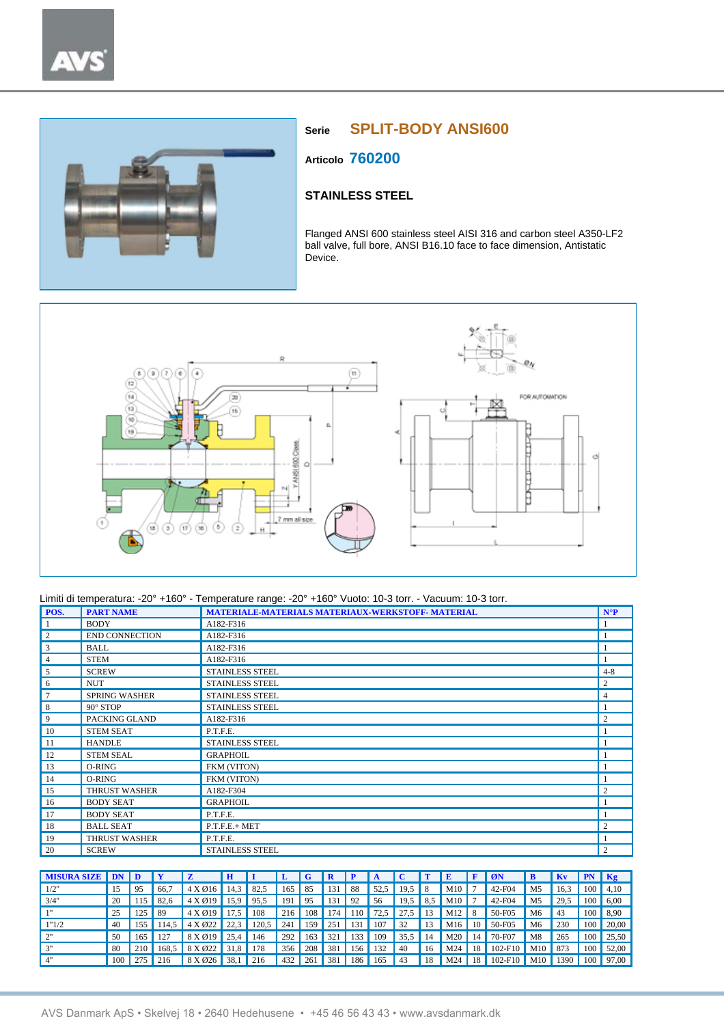

# **Serie SPLIT-BODY ANSI600**

**Articolo 760200**

# **STAINLESS STEEL**

Flanged ANSI 600 stainless steel AISI 316 and carbon steel A350-LF2 ball valve, full bore, ANSI B16.10 face to face dimension, Antistatic Device.



| POS.           | <b>PART NAME</b>      | MATERIALE-MATERIALS MATERIAUX-WERKSTOFF- MATERIAL | $N^{\circ}P$   |
|----------------|-----------------------|---------------------------------------------------|----------------|
| $\vert$ 1      | <b>BODY</b>           | A182-F316                                         |                |
| $\overline{c}$ | <b>END CONNECTION</b> | A182-F316                                         |                |
| 3              | BALL                  | A182-F316                                         |                |
| 4              | <b>STEM</b>           | A182-F316                                         |                |
| 5              | <b>SCREW</b>          | <b>STAINLESS STEEL</b>                            | $4 - 8$        |
| 6              | <b>NUT</b>            | <b>STAINLESS STEEL</b>                            | $\overline{c}$ |
| $\tau$         | <b>SPRING WASHER</b>  | <b>STAINLESS STEEL</b>                            | $\overline{4}$ |
| 8              | 90° STOP              | <b>STAINLESS STEEL</b>                            |                |
| $\overline{9}$ | PACKING GLAND         | A182-F316                                         | $\overline{2}$ |
| $\vert$ 10     | <b>STEM SEAT</b>      | P.T.F.E.                                          |                |
| 11             | <b>HANDLE</b>         | STAINLESS STEEL                                   |                |
| 12             | <b>STEM SEAL</b>      | <b>GRAPHOIL</b>                                   |                |
| $\vert$ 13     | O-RING                | FKM (VITON)                                       |                |
| 14             | O-RING                | FKM (VITON)                                       |                |
| 15             | <b>THRUST WASHER</b>  | A182-F304                                         | $\overline{2}$ |
| 16             | <b>BODY SEAT</b>      | <b>GRAPHOIL</b>                                   |                |
| 17             | <b>BODY SEAT</b>      | P.T.F.E.                                          |                |
| <sup>18</sup>  | <b>BALL SEAT</b>      | $P.T.F.E.+ MET$                                   | $\overline{2}$ |
| 19             | <b>THRUST WASHER</b>  | P.T.F.E.                                          |                |
| 20             | <b>SCREW</b>          | <b>STAINLESS STEEL</b>                            | $\overline{2}$ |

| <b>MISURA SIZE</b> |     |     |       |                    | H    |       |     |     |     |     |      |            |    |          |    | ØN          |                | <b>Kv</b> | <b>PN</b>        | $\overline{Kg}$        |
|--------------------|-----|-----|-------|--------------------|------|-------|-----|-----|-----|-----|------|------------|----|----------|----|-------------|----------------|-----------|------------------|------------------------|
| 1/2"               |     | 95  | 66.7  | $4 X \emptyset 16$ | 14.3 | 82.5  | 165 | 85  | 131 | -88 | 52.5 | $19.5$ 8   |    | $M10$ 7  |    | 42-F04      | M <sub>5</sub> | 16.3      |                  | $100 \parallel 4,10$   |
| 3/4"               | 20  |     | 82.6  | 4 X 019            | 15,9 | 95.5  | 191 | 95  | 131 | 92  | 56   | $19.5$ 8.5 |    | $M10$ 7  |    | 42-F04      | M <sub>5</sub> | 29,5      | 100              | 6,00                   |
| 111                | 25  | 125 | -89   | $4 \times 019$     | 17.5 | 108   | 216 | 108 | 174 | 110 | 72.5 | $27.5$ 13  |    | $M12$ 8  |    | 50-F05      | M6             | 43        |                  | $100 \, \text{S}$ , 90 |
| 1"1/2              | 40  | 155 | 114.5 | $4 X \times 22$    | 22.3 | 120.5 | 241 | 159 | 251 | 131 | 107  | 32         | 13 | $M16$ 10 |    | 50-F05      | M <sub>6</sub> | 230       | 100 <sup>1</sup> | 20,00                  |
| 2"                 | 50  | 165 |       | 8 X 019            | 25.4 | 146   | 292 | 163 | 321 | 133 | 109  | $35.5$     | 14 | $M20$ 14 |    | 70-F07      | M8             | 265       | 100              | 25.50                  |
| 3"                 | 80  | 210 | 168.5 | 8 X Ø22            | 31.8 | 178   | 356 | 208 | 381 | 156 | 132  | 40         | 16 | M24      | 18 | $102 - F10$ | M10            | 873       | 100              | 52,00                  |
| 4"                 | 100 | 275 | 216   | 8 X Ø26            | 38,1 | 216   | 432 | 261 | 381 | 186 | 165  | 43         | 18 | M24      | 18 | 102-F10     | M10            | 1390      | 100 <sup>1</sup> | 97,00                  |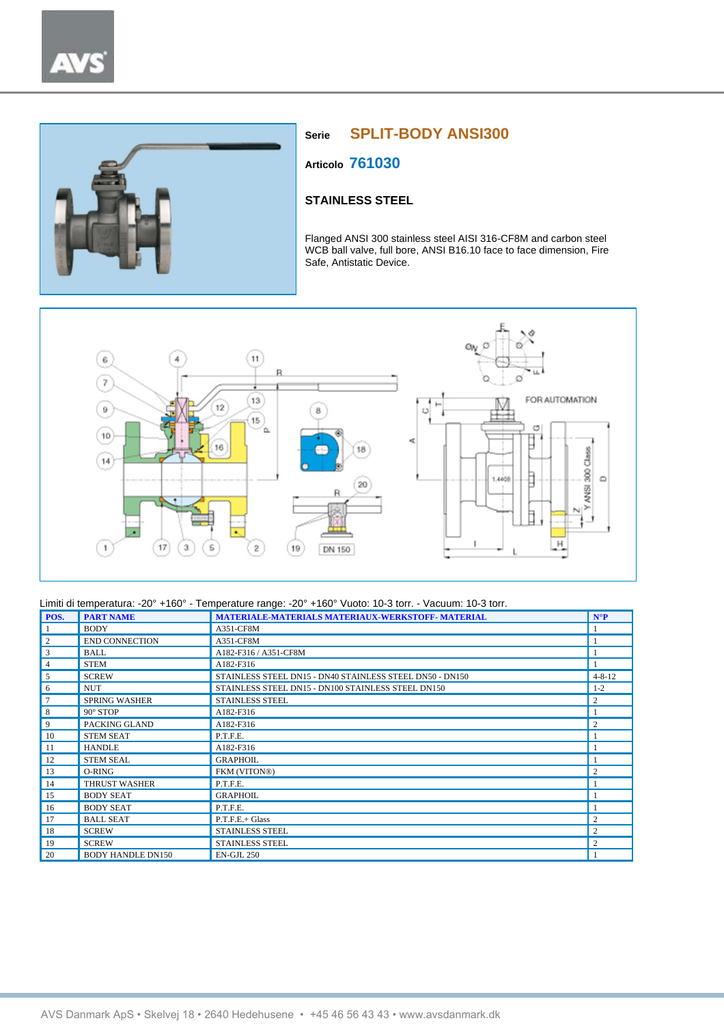

# **Serie SPLIT-BODY ANSI300**

**Articolo 761030**

## **STAINLESS STEEL**

Flanged ANSI 300 stainless steel AISI 316-CF8M and carbon steel WCB ball valve, full bore, ANSI B16.10 face to face dimension, Fire Safe, Antistatic Device.



| POS.           | <b>PART NAME</b>         | MATERIALE-MATERIALS MATERIAUX-WERKSTOFF- MATERIAL        | $N^{\circ}P$   |
|----------------|--------------------------|----------------------------------------------------------|----------------|
|                | <b>BODY</b>              | A351-CF8M                                                |                |
| $\overline{2}$ | <b>END CONNECTION</b>    | A351-CF8M                                                | -1             |
| 3              | <b>BALL</b>              | A182-F316 / A351-CF8M                                    |                |
| $\overline{4}$ | <b>STEM</b>              | A182-F316                                                |                |
| 5              | <b>SCREW</b>             | STAINLESS STEEL DN15 - DN40 STAINLESS STEEL DN50 - DN150 | $4 - 8 - 12$   |
| 6              | <b>NUT</b>               | STAINLESS STEEL DN15 - DN100 STAINLESS STEEL DN150       | $1 - 2$        |
| $\overline{7}$ | <b>SPRING WASHER</b>     | <b>STAINLESS STEEL</b>                                   | 2              |
| 8              | 90° STOP                 | A182-F316                                                | 1              |
| 9              | PACKING GLAND            | A182-F316                                                | $\overline{c}$ |
| 10             | <b>STEM SEAT</b>         | P.T.F.E.                                                 |                |
| -11            | <b>HANDLE</b>            | A182-F316                                                | $\mathbf{1}$   |
| 12             | <b>STEM SEAL</b>         | <b>GRAPHOIL</b>                                          | $\mathbf{1}$   |
| 13             | O-RING                   | FKM (VITON®)                                             | 2              |
| 14             | <b>THRUST WASHER</b>     | P.T.F.E.                                                 |                |
| 15             | <b>BODY SEAT</b>         | <b>GRAPHOIL</b>                                          |                |
| 16             | <b>BODY SEAT</b>         | P.T.F.E.                                                 |                |
| 17             | <b>BALL SEAT</b>         | P.T.F.E.+ Glass                                          | 2              |
| 18             | <b>SCREW</b>             | <b>STAINLESS STEEL</b>                                   | $\overline{c}$ |
| 19             | <b>SCREW</b>             | <b>STAINLESS STEEL</b>                                   | 2              |
| 20             | <b>BODY HANDLE DN150</b> | <b>EN-GJL 250</b>                                        |                |